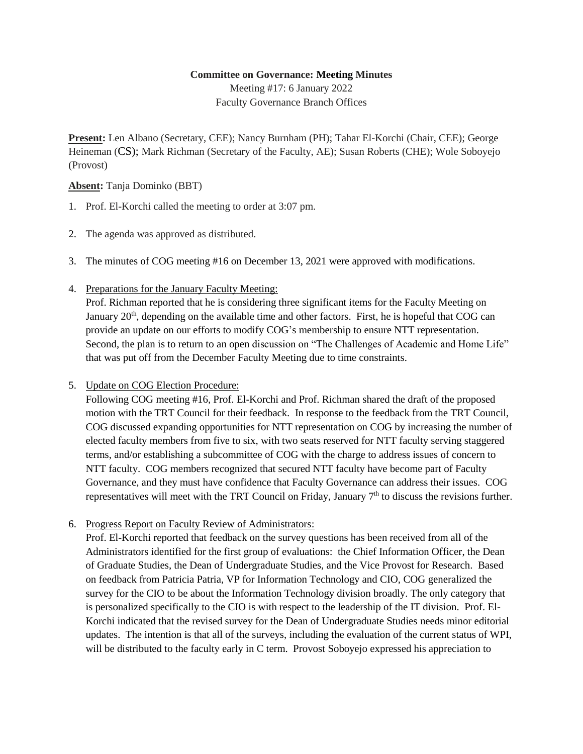## **Committee on Governance: Meeting Minutes**

Meeting #17: 6 January 2022 Faculty Governance Branch Offices

**Present:** Len Albano (Secretary, CEE); Nancy Burnham (PH); Tahar El-Korchi (Chair, CEE); George Heineman (CS); Mark Richman (Secretary of the Faculty, AE); Susan Roberts (CHE); Wole Soboyejo (Provost)

## **Absent:** Tanja Dominko (BBT)

- 1. Prof. El-Korchi called the meeting to order at 3:07 pm.
- 2. The agenda was approved as distributed.
- 3. The minutes of COG meeting #16 on December 13, 2021 were approved with modifications.
- 4. Preparations for the January Faculty Meeting:

Prof. Richman reported that he is considering three significant items for the Faculty Meeting on January  $20<sup>th</sup>$ , depending on the available time and other factors. First, he is hopeful that COG can provide an update on our efforts to modify COG's membership to ensure NTT representation. Second, the plan is to return to an open discussion on "The Challenges of Academic and Home Life" that was put off from the December Faculty Meeting due to time constraints.

5. Update on COG Election Procedure:

Following COG meeting #16, Prof. El-Korchi and Prof. Richman shared the draft of the proposed motion with the TRT Council for their feedback. In response to the feedback from the TRT Council, COG discussed expanding opportunities for NTT representation on COG by increasing the number of elected faculty members from five to six, with two seats reserved for NTT faculty serving staggered terms, and/or establishing a subcommittee of COG with the charge to address issues of concern to NTT faculty. COG members recognized that secured NTT faculty have become part of Faculty Governance, and they must have confidence that Faculty Governance can address their issues. COG representatives will meet with the TRT Council on Friday, January  $7<sup>th</sup>$  to discuss the revisions further.

6. Progress Report on Faculty Review of Administrators:

Prof. El-Korchi reported that feedback on the survey questions has been received from all of the Administrators identified for the first group of evaluations: the Chief Information Officer, the Dean of Graduate Studies, the Dean of Undergraduate Studies, and the Vice Provost for Research. Based on feedback from Patricia Patria, VP for Information Technology and CIO, COG generalized the survey for the CIO to be about the Information Technology division broadly. The only category that is personalized specifically to the CIO is with respect to the leadership of the IT division. Prof. El-Korchi indicated that the revised survey for the Dean of Undergraduate Studies needs minor editorial updates. The intention is that all of the surveys, including the evaluation of the current status of WPI, will be distributed to the faculty early in C term. Provost Soboyejo expressed his appreciation to